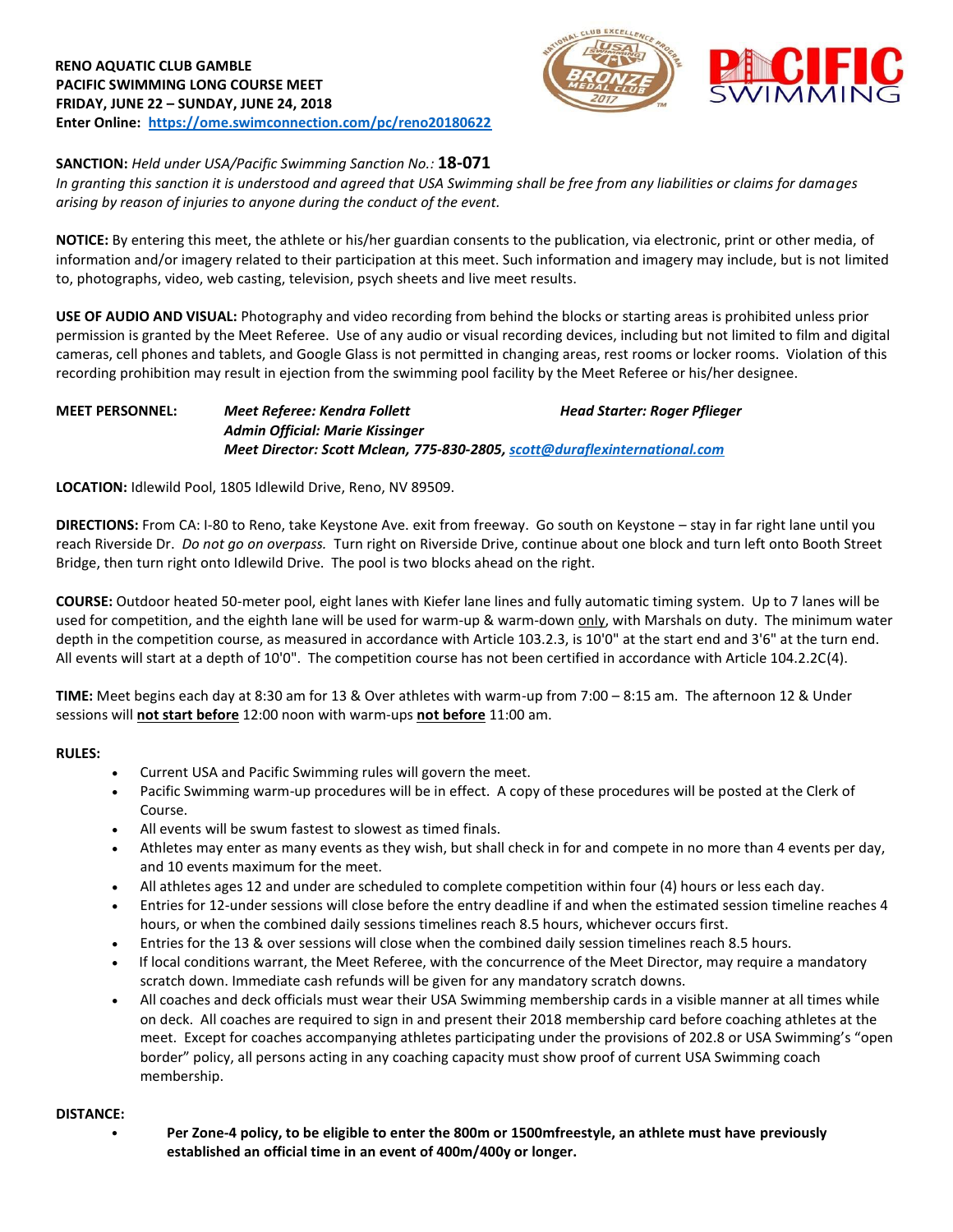



### **SANCTION:** *Held under USA/Pacific Swimming Sanction No.:* **18-071**

*In granting this sanction it is understood and agreed that USA Swimming shall be free from any liabilities or claims for damages arising by reason of injuries to anyone during the conduct of the event.*

**NOTICE:** By entering this meet, the athlete or his/her guardian consents to the publication, via electronic, print or other media, of information and/or imagery related to their participation at this meet. Such information and imagery may include, but is not limited to, photographs, video, web casting, television, psych sheets and live meet results.

**USE OF AUDIO AND VISUAL:** Photography and video recording from behind the blocks or starting areas is prohibited unless prior permission is granted by the Meet Referee. Use of any audio or visual recording devices, including but not limited to film and digital cameras, cell phones and tablets, and Google Glass is not permitted in changing areas, rest rooms or locker rooms. Violation of this recording prohibition may result in ejection from the swimming pool facility by the Meet Referee or his/her designee.

#### **MEET PERSONNEL:** *Meet Referee: Kendra Follett Head Starter: Roger Pflieger Admin Official: Marie Kissinger Meet Director: Scott Mclean, 775-830-2805[, scott@duraflexinternational.com](mailto:scott@duraflexinternational.com)*

**LOCATION:** Idlewild Pool, 1805 Idlewild Drive, Reno, NV 89509.

**DIRECTIONS:** From CA: I-80 to Reno, take Keystone Ave. exit from freeway. Go south on Keystone – stay in far right lane until you reach Riverside Dr. *Do not go on overpass.* Turn right on Riverside Drive, continue about one block and turn left onto Booth Street Bridge, then turn right onto Idlewild Drive. The pool is two blocks ahead on the right.

**COURSE:** Outdoor heated 50-meter pool, eight lanes with Kiefer lane lines and fully automatic timing system. Up to 7 lanes will be used for competition, and the eighth lane will be used for warm-up & warm-down only, with Marshals on duty. The minimum water depth in the competition course, as measured in accordance with Article 103.2.3, is 10'0" at the start end and 3'6" at the turn end. All events will start at a depth of 10'0". The competition course has not been certified in accordance with Article 104.2.2C(4).

**TIME:** Meet begins each day at 8:30 am for 13 & Over athletes with warm-up from 7:00 – 8:15 am. The afternoon 12 & Under sessions will **not start before** 12:00 noon with warm-ups **not before** 11:00 am.

#### **RULES:**

- Current USA and Pacific Swimming rules will govern the meet.
- Pacific Swimming warm-up procedures will be in effect. A copy of these procedures will be posted at the Clerk of Course.
- All events will be swum fastest to slowest as timed finals.
- Athletes may enter as many events as they wish, but shall check in for and compete in no more than 4 events per day, and 10 events maximum for the meet.
- All athletes ages 12 and under are scheduled to complete competition within four (4) hours or less each day.
- Entries for 12-under sessions will close before the entry deadline if and when the estimated session timeline reaches 4 hours, or when the combined daily sessions timelines reach 8.5 hours, whichever occurs first.
- Entries for the 13 & over sessions will close when the combined daily session timelines reach 8.5 hours.
- If local conditions warrant, the Meet Referee, with the concurrence of the Meet Director, may require a mandatory scratch down. Immediate cash refunds will be given for any mandatory scratch downs.
- All coaches and deck officials must wear their USA Swimming membership cards in a visible manner at all times while on deck. All coaches are required to sign in and present their 2018 membership card before coaching athletes at the meet. Except for coaches accompanying athletes participating under the provisions of 202.8 or USA Swimming's "open border" policy, all persons acting in any coaching capacity must show proof of current USA Swimming coach membership.

#### **DISTANCE:**

• **Per Zone-4 policy, to be eligible to enter the 800m or 1500mfreestyle, an athlete must have previously established an official time in an event of 400m/400y or longer.**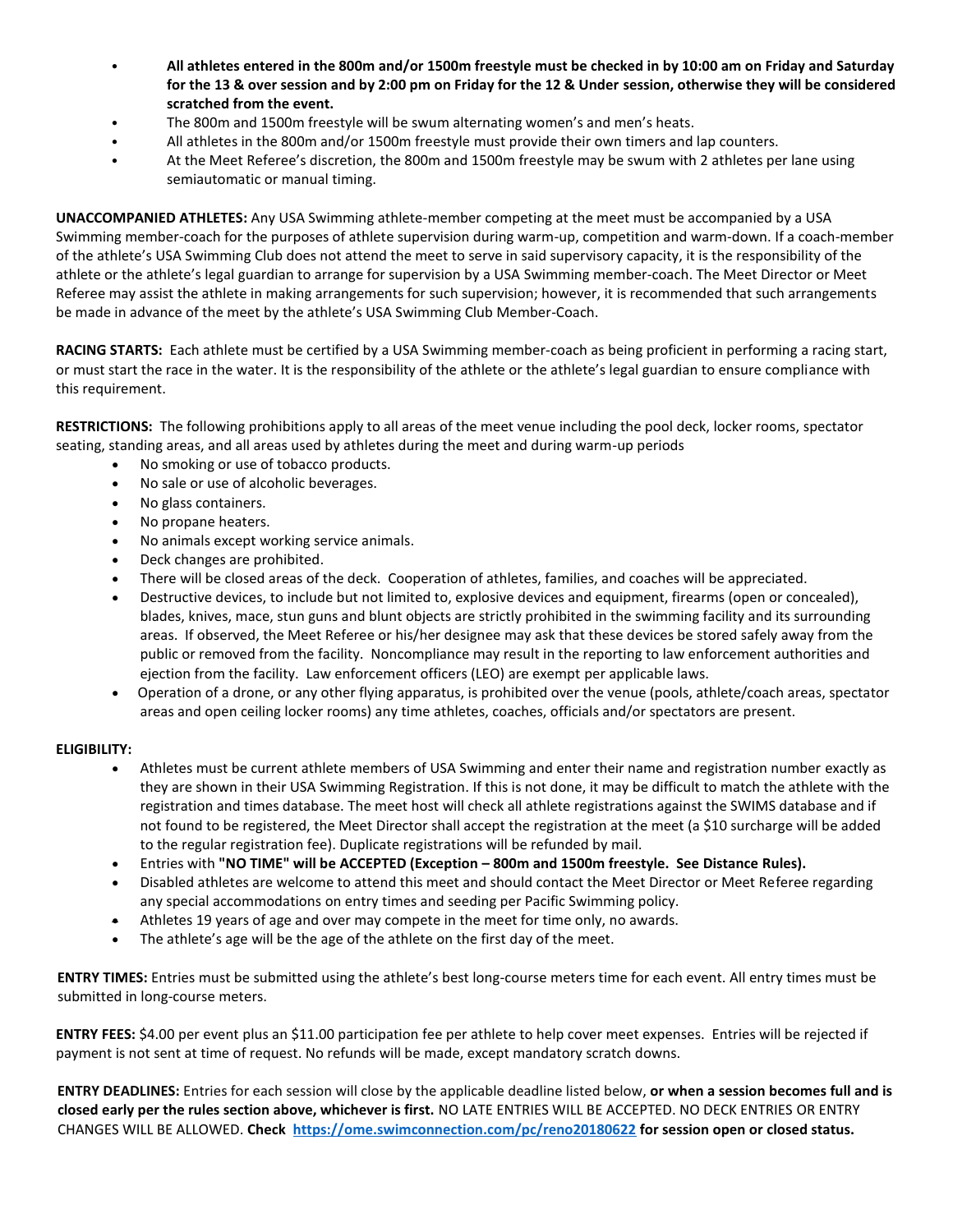- **All athletes entered in the 800m and/or 1500m freestyle must be checked in by 10:00 am on Friday and Saturday for the 13 & over session and by 2:00 pm on Friday for the 12 & Under session, otherwise they will be considered scratched from the event.**
- The 800m and 1500m freestyle will be swum alternating women's and men's heats.
- All athletes in the 800m and/or 1500m freestyle must provide their own timers and lap counters.
- At the Meet Referee's discretion, the 800m and 1500m freestyle may be swum with 2 athletes per lane using semiautomatic or manual timing.

**UNACCOMPANIED ATHLETES:** Any USA Swimming athlete-member competing at the meet must be accompanied by a USA Swimming member-coach for the purposes of athlete supervision during warm-up, competition and warm-down. If a coach-member of the athlete's USA Swimming Club does not attend the meet to serve in said supervisory capacity, it is the responsibility of the athlete or the athlete's legal guardian to arrange for supervision by a USA Swimming member-coach. The Meet Director or Meet Referee may assist the athlete in making arrangements for such supervision; however, it is recommended that such arrangements be made in advance of the meet by the athlete's USA Swimming Club Member-Coach.

**RACING STARTS:** Each athlete must be certified by a USA Swimming member-coach as being proficient in performing a racing start, or must start the race in the water. It is the responsibility of the athlete or the athlete's legal guardian to ensure compliance with this requirement.

**RESTRICTIONS:** The following prohibitions apply to all areas of the meet venue including the pool deck, locker rooms, spectator seating, standing areas, and all areas used by athletes during the meet and during warm-up periods

- No smoking or use of tobacco products.
- No sale or use of alcoholic beverages.
- No glass containers.
- No propane heaters.
- No animals except working service animals.
- Deck changes are prohibited.
- There will be closed areas of the deck. Cooperation of athletes, families, and coaches will be appreciated.
- Destructive devices, to include but not limited to, explosive devices and equipment, firearms (open or concealed), blades, knives, mace, stun guns and blunt objects are strictly prohibited in the swimming facility and its surrounding areas. If observed, the Meet Referee or his/her designee may ask that these devices be stored safely away from the public or removed from the facility. Noncompliance may result in the reporting to law enforcement authorities and ejection from the facility. Law enforcement officers (LEO) are exempt per applicable laws.
- Operation of a drone, or any other flying apparatus, is prohibited over the venue (pools, athlete/coach areas, spectator areas and open ceiling locker rooms) any time athletes, coaches, officials and/or spectators are present.

#### **ELIGIBILITY:**

- Athletes must be current athlete members of USA Swimming and enter their name and registration number exactly as they are shown in their USA Swimming Registration. If this is not done, it may be difficult to match the athlete with the registration and times database. The meet host will check all athlete registrations against the SWIMS database and if not found to be registered, the Meet Director shall accept the registration at the meet (a \$10 surcharge will be added to the regular registration fee). Duplicate registrations will be refunded by mail.
- Entries with **"NO TIME" will be ACCEPTED (Exception – 800m and 1500m freestyle. See Distance Rules).**
- Disabled athletes are welcome to attend this meet and should contact the Meet Director or Meet Referee regarding any special accommodations on entry times and seeding per Pacific Swimming policy.
- Athletes 19 years of age and over may compete in the meet for time only, no awards.
- The athlete's age will be the age of the athlete on the first day of the meet.

**ENTRY TIMES:** Entries must be submitted using the athlete's best long-course meters time for each event. All entry times must be submitted in long-course meters.

**ENTRY FEES:** \$4.00 per event plus an \$11.00 participation fee per athlete to help cover meet expenses. Entries will be rejected if payment is not sent at time of request. No refunds will be made, except mandatory scratch downs.

**ENTRY DEADLINES:** Entries for each session will close by the applicable deadline listed below, **or when a session becomes full and is closed early per the rules section above, whichever is first.** NO LATE ENTRIES WILL BE ACCEPTED. NO DECK ENTRIES OR ENTRY CHANGES WILL BE ALLOWED. **Check <https://ome.swimconnection.com/pc/reno20180622> for session open or closed status.**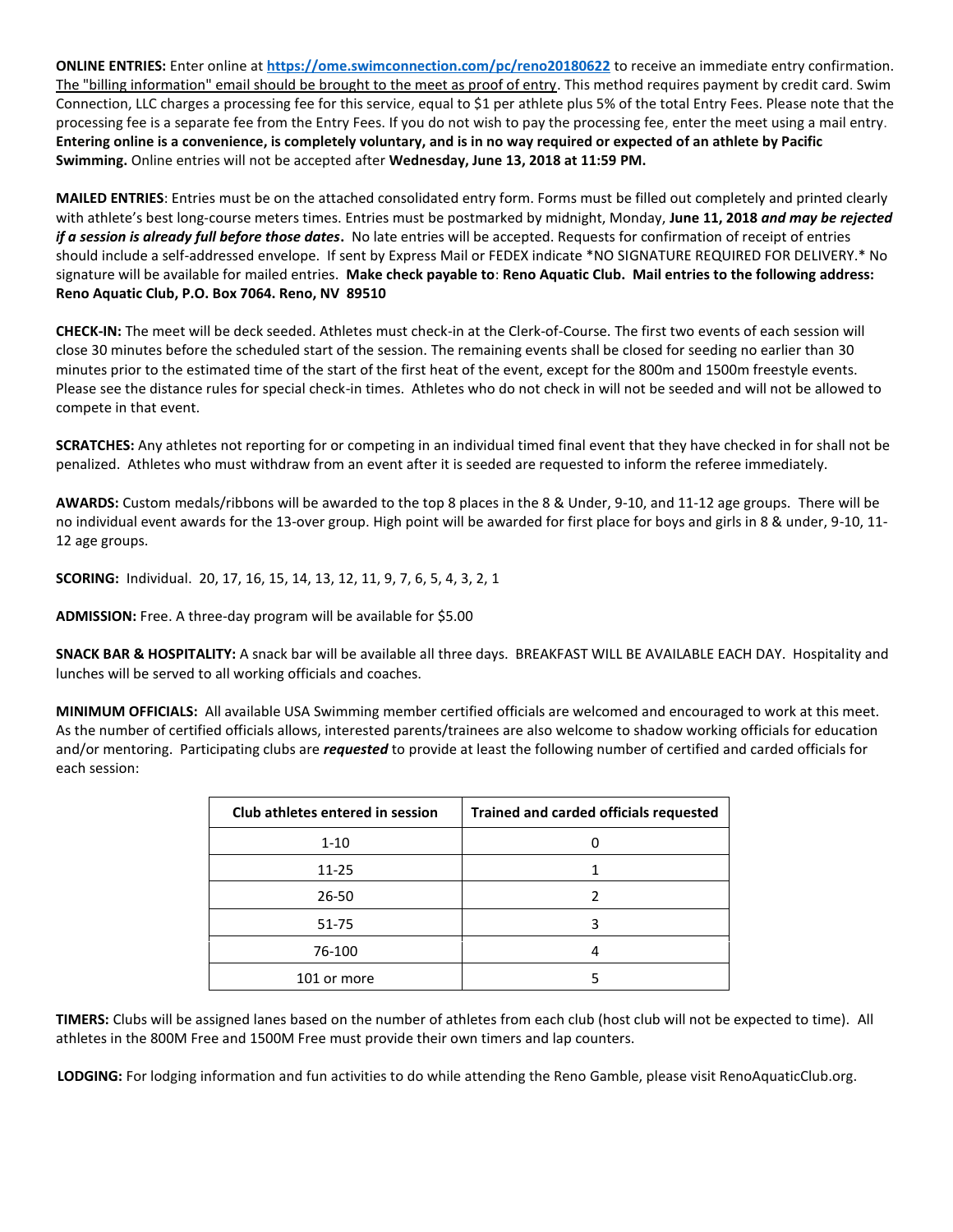**ONLINE ENTRIES:** Enter online at **<https://ome.swimconnection.com/pc/reno20180622>** [to](http://ome.swimconnection.com/pc/RENO20160624) receive an immediate entry confirmation. The "billing information" email should be brought to the meet as proof of entry. This method requires payment by credit card. Swim Connection, LLC charges a processing fee for this service, equal to \$1 per athlete plus 5% of the total Entry Fees. Please note that the processing fee is a separate fee from the Entry Fees. If you do not wish to pay the processing fee, enter the meet using a mail entry. **Entering online is a convenience, is completely voluntary, and is in no way required or expected of an athlete by Pacific Swimming.** Online entries will not be accepted after **Wednesday, June 13, 2018 at 11:59 PM.**

**MAILED ENTRIES**: Entries must be on the attached consolidated entry form. Forms must be filled out completely and printed clearly with athlete's best long-course meters times. Entries must be postmarked by midnight, Monday, **June 11, 2018** *and may be rejected if a session is already full before those dates***.** No late entries will be accepted. Requests for confirmation of receipt of entries should include a self-addressed envelope. If sent by Express Mail or FEDEX indicate \*NO SIGNATURE REQUIRED FOR DELIVERY.\* No signature will be available for mailed entries. **Make check payable to**: **Reno Aquatic Club. Mail entries to the following address: Reno Aquatic Club, P.O. Box 7064. Reno, NV 89510**

**CHECK-IN:** The meet will be deck seeded. Athletes must check-in at the Clerk-of-Course. The first two events of each session will close 30 minutes before the scheduled start of the session. The remaining events shall be closed for seeding no earlier than 30 minutes prior to the estimated time of the start of the first heat of the event, except for the 800m and 1500m freestyle events. Please see the distance rules for special check-in times. Athletes who do not check in will not be seeded and will not be allowed to compete in that event.

**SCRATCHES:** Any athletes not reporting for or competing in an individual timed final event that they have checked in for shall not be penalized. Athletes who must withdraw from an event after it is seeded are requested to inform the referee immediately.

**AWARDS:** Custom medals/ribbons will be awarded to the top 8 places in the 8 & Under, 9-10, and 11-12 age groups. There will be no individual event awards for the 13-over group. High point will be awarded for first place for boys and girls in 8 & under, 9-10, 11- 12 age groups.

**SCORING:** Individual. 20, 17, 16, 15, 14, 13, 12, 11, 9, 7, 6, 5, 4, 3, 2, 1

**ADMISSION:** Free. A three-day program will be available for \$5.00

**SNACK BAR & HOSPITALITY:** A snack bar will be available all three days. BREAKFAST WILL BE AVAILABLE EACH DAY. Hospitality and lunches will be served to all working officials and coaches.

**MINIMUM OFFICIALS:** All available USA Swimming member certified officials are welcomed and encouraged to work at this meet. As the number of certified officials allows, interested parents/trainees are also welcome to shadow working officials for education and/or mentoring. Participating clubs are *requested* to provide at least the following number of certified and carded officials for each session:

| Club athletes entered in session | Trained and carded officials requested |
|----------------------------------|----------------------------------------|
| $1 - 10$                         |                                        |
| $11 - 25$                        |                                        |
| $26 - 50$                        |                                        |
| $51 - 75$                        |                                        |
| 76-100                           |                                        |
| 101 or more                      |                                        |

**TIMERS:** Clubs will be assigned lanes based on the number of athletes from each club (host club will not be expected to time). All athletes in the 800M Free and 1500M Free must provide their own timers and lap counters.

**LODGING:** For lodging information and fun activities to do while attending the Reno Gamble, please visit RenoAquaticClub.org.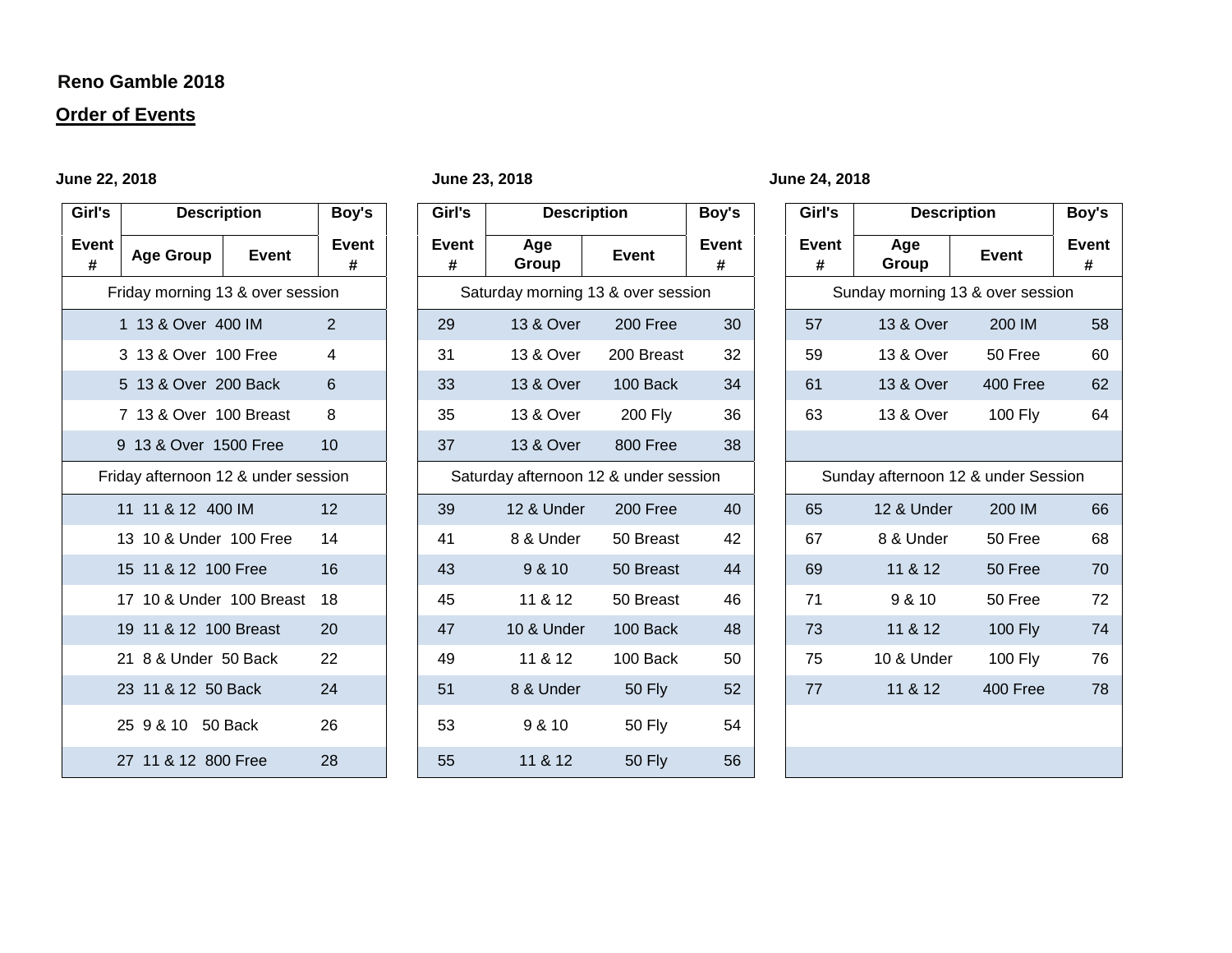## **Reno Gamble 2018**

# **Order of Events**

| Girl's                           | <b>Description</b>                  | Boy's |                   |  |  |  |  |
|----------------------------------|-------------------------------------|-------|-------------------|--|--|--|--|
| Event<br>#                       | Age Group                           | Event | <b>Event</b><br># |  |  |  |  |
| Friday morning 13 & over session |                                     |       |                   |  |  |  |  |
|                                  | 1 13 & Over 400 IM                  |       | 2                 |  |  |  |  |
|                                  | 3 13 & Over 100 Free                |       | 4                 |  |  |  |  |
|                                  | 5 13 & Over 200 Back                |       | 6                 |  |  |  |  |
|                                  | 7 13 & Over 100 Breast              |       | 8                 |  |  |  |  |
|                                  | 9 13 & Over 1500 Free               |       | 10                |  |  |  |  |
|                                  | Friday afternoon 12 & under session |       |                   |  |  |  |  |
|                                  | 11 11 & 12 400 IM                   |       | 12                |  |  |  |  |
|                                  | 13 10 & Under 100 Free              |       | 14                |  |  |  |  |
|                                  | 15 11 & 12 100 Free                 |       | 16                |  |  |  |  |
|                                  | 17 10 & Under 100 Breast            |       | 18                |  |  |  |  |
|                                  | 19 11 & 12 100 Breast               |       | 20                |  |  |  |  |
|                                  | 21 8 & Under 50 Back                |       | 22                |  |  |  |  |
|                                  | 23 11 & 12 50 Back                  |       | 24                |  |  |  |  |
|                                  | 25 9 & 10 50 Back                   |       | 26                |  |  |  |  |
|                                  | 27 11 & 12 800 Free                 |       | 28                |  |  |  |  |

| Girl's<br><b>Description</b> |                                     | Boy's          | Girl's     | <b>Description</b>                    |                | Boy's             | Girl's     |                                     | <b>Description</b> |                   |
|------------------------------|-------------------------------------|----------------|------------|---------------------------------------|----------------|-------------------|------------|-------------------------------------|--------------------|-------------------|
| Event<br>#                   | <b>Age Group</b><br>Event           | Event<br>#     | Event<br># | Age<br>Group                          | <b>Event</b>   | <b>Event</b><br># | Event<br># | Age<br>Group                        | <b>Event</b>       | <b>Event</b><br># |
|                              | Friday morning 13 & over session    |                |            | Saturday morning 13 & over session    |                |                   |            | Sunday morning 13 & over session    |                    |                   |
|                              | 1 13 & Over 400 IM                  | $\overline{2}$ | 29         | 13 & Over                             | 200 Free       | 30                | 57         | 13 & Over                           | 200 IM             | 58                |
|                              | 3 13 & Over 100 Free                | 4              | 31         | 13 & Over                             | 200 Breast     | 32                | 59         | 13 & Over                           | 50 Free            | 60                |
|                              | 5 13 & Over 200 Back                | 6              | 33         | 13 & Over                             | 100 Back       | 34                | 61         | 13 & Over                           | 400 Free           | 62                |
|                              | 7 13 & Over 100 Breast              | 8              | 35         | 13 & Over                             | <b>200 Fly</b> | 36                | 63         | 13 & Over                           | <b>100 Fly</b>     | 64                |
|                              | 9 13 & Over 1500 Free               | 10             | 37         | 13 & Over                             | 800 Free       | 38                |            |                                     |                    |                   |
|                              | Friday afternoon 12 & under session |                |            | Saturday afternoon 12 & under session |                |                   |            | Sunday afternoon 12 & under Session |                    |                   |
|                              | 11 11 & 12 400 IM                   | 12             | 39         | 12 & Under                            | 200 Free       | 40                | 65         | 12 & Under                          | 200 IM             | 66                |
|                              | 13 10 & Under 100 Free              | 14             | 41         | 8 & Under                             | 50 Breast      | 42                | 67         | 8 & Under                           | 50 Free            | 68                |
|                              | 15 11 & 12 100 Free                 | 16             | 43         | 9 & 10                                | 50 Breast      | 44                | 69         | 11 & 12                             | 50 Free            | 70                |
|                              | 17 10 & Under 100 Breast            | 18             | 45         | 11 & 12                               | 50 Breast      | 46                | 71         | 9 & 10                              | 50 Free            | 72                |
|                              | 19 11 & 12 100 Breast               | 20             | 47         | 10 & Under                            | 100 Back       | 48                | 73         | 11 & 12                             | <b>100 Fly</b>     | 74                |
|                              | 21 8 & Under 50 Back                | 22             | 49         | 11 & 12                               | 100 Back       | 50                | 75         | 10 & Under                          | 100 Fly            | 76                |
|                              | 23 11 & 12 50 Back                  | 24             | 51         | 8 & Under                             | <b>50 Fly</b>  | 52                | 77         | 11 & 12                             | 400 Free           | 78                |
|                              | 25 9 & 10 50 Back                   | 26             | 53         | 9 & 10                                | <b>50 Fly</b>  | 54                |            |                                     |                    |                   |
|                              | 27 11 & 12 800 Free                 | 28             | 55         | 11 & 12                               | <b>50 Fly</b>  | 56                |            |                                     |                    |                   |

**June 22, 2018 June 23, 2018 June 24, 2018**

| Girl's                              | <b>Description</b>   | Boy's          |                   |  |  |  |  |  |
|-------------------------------------|----------------------|----------------|-------------------|--|--|--|--|--|
| <b>Event</b><br>#                   | Age<br>Group         | <b>Event</b>   | <b>Event</b><br># |  |  |  |  |  |
| Sunday morning 13 & over session    |                      |                |                   |  |  |  |  |  |
| 57                                  | <b>13 &amp; Over</b> | 200 IM         | 58                |  |  |  |  |  |
| 59                                  | 13 & Over            | 50 Free        | 60                |  |  |  |  |  |
| 61                                  | <b>13 &amp; Over</b> | 400 Free       | 62                |  |  |  |  |  |
| 63                                  | 13 & Over            | <b>100 Fly</b> | 64                |  |  |  |  |  |
|                                     |                      |                |                   |  |  |  |  |  |
| Sunday afternoon 12 & under Session |                      |                |                   |  |  |  |  |  |
| 65                                  | 12 & Under           | 200 IM         | 66                |  |  |  |  |  |
| 67                                  | 8 & Under            | 50 Free        | 68                |  |  |  |  |  |
| 69                                  | 11 & 12              | 50 Free        | 70                |  |  |  |  |  |
| 71                                  | 9 & 10               | 50 Free        | 72                |  |  |  |  |  |
| 73                                  | 11 & 12              | <b>100 Fly</b> | 74                |  |  |  |  |  |
| 75                                  | 10 & Under           | <b>100 Fly</b> | 76                |  |  |  |  |  |
| 77                                  | 11 & 12              | 400 Free       | 78                |  |  |  |  |  |
|                                     |                      |                |                   |  |  |  |  |  |
|                                     |                      |                |                   |  |  |  |  |  |